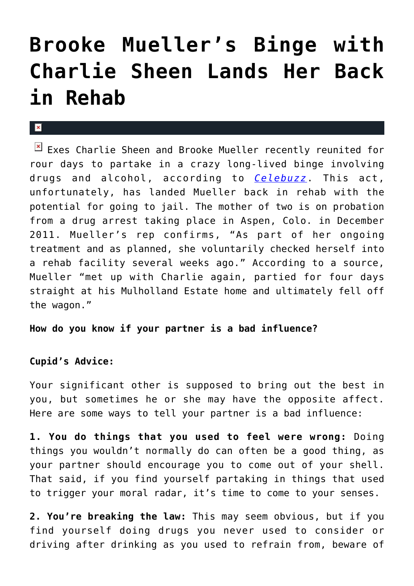## **[Brooke Mueller's Binge with](https://cupidspulse.com/32184/brooke-muellers-binge-charlie-sheen-rehab/) [Charlie Sheen Lands Her Back](https://cupidspulse.com/32184/brooke-muellers-binge-charlie-sheen-rehab/) [in Rehab](https://cupidspulse.com/32184/brooke-muellers-binge-charlie-sheen-rehab/)**

## $\mathbf{x}$

Exes Charlie Sheen and Brooke Mueller recently reunited for rour days to partake in a crazy long-lived binge involving drugs and alcohol, according to *[Celebuzz](http://www.celebuzz.com/2012-05-31/charlie-sheen%E2%80%99s-ex-wife-brooke-mueller-relapses-back-in-rehab-exclusive/)*. This act, unfortunately, has landed Mueller back in rehab with the potential for going to jail. The mother of two is on probation from a drug arrest taking place in Aspen, Colo. in December 2011. Mueller's rep confirms, "As part of her ongoing treatment and as planned, she voluntarily checked herself into a rehab facility several weeks ago." According to a source, Mueller "met up with Charlie again, partied for four days straight at his Mulholland Estate home and ultimately fell off the wagon."

**How do you know if your partner is a bad influence?**

## **Cupid's Advice:**

Your significant other is supposed to bring out the best in you, but sometimes he or she may have the opposite affect. Here are some ways to tell your partner is a bad influence:

**1. You do things that you used to feel were wrong:** Doing things you wouldn't normally do can often be a good thing, as your partner should encourage you to come out of your shell. That said, if you find yourself partaking in things that used to trigger your moral radar, it's time to come to your senses.

**2. You're breaking the law:** This may seem obvious, but if you find yourself doing drugs you never used to consider or driving after drinking as you used to refrain from, beware of